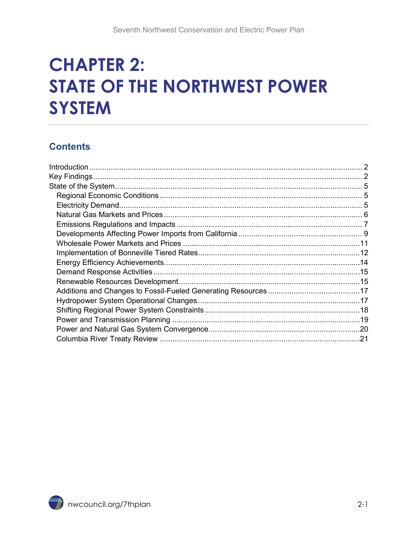# **CHAPTER 2: STATE OF THE NORTHWEST POWER SYSTEM**

#### **Contents**

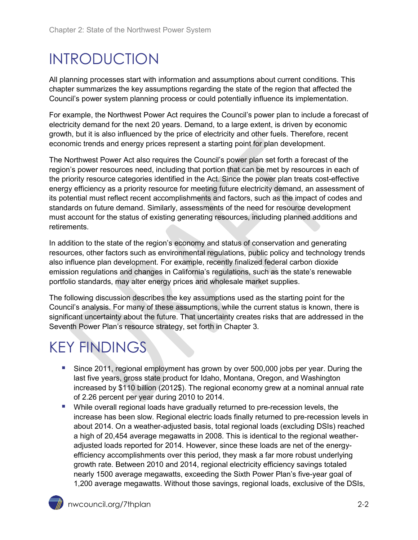# <span id="page-1-0"></span>INTRODUCTION

All planning processes start with information and assumptions about current conditions. This chapter summarizes the key assumptions regarding the state of the region that affected the Council's power system planning process or could potentially influence its implementation.

For example, the Northwest Power Act requires the Council's power plan to include a forecast of electricity demand for the next 20 years. Demand, to a large extent, is driven by economic growth, but it is also influenced by the price of electricity and other fuels. Therefore, recent economic trends and energy prices represent a starting point for plan development.

The Northwest Power Act also requires the Council's power plan set forth a forecast of the region's power resources need, including that portion that can be met by resources in each of the priority resource categories identified in the Act. Since the power plan treats cost-effective energy efficiency as a priority resource for meeting future electricity demand, an assessment of its potential must reflect recent accomplishments and factors, such as the impact of codes and standards on future demand. Similarly, assessments of the need for resource development must account for the status of existing generating resources, including planned additions and retirements.

In addition to the state of the region's economy and status of conservation and generating resources, other factors such as environmental regulations, public policy and technology trends also influence plan development. For example, recently finalized federal carbon dioxide emission regulations and changes in California's regulations, such as the state's renewable portfolio standards, may alter energy prices and wholesale market supplies.

The following discussion describes the key assumptions used as the starting point for the Council's analysis. For many of these assumptions, while the current status is known, there is significant uncertainty about the future. That uncertainty creates risks that are addressed in the Seventh Power Plan's resource strategy, set forth in Chapter 3.

# <span id="page-1-1"></span>KEY FINDINGS

- Since 2011, regional employment has grown by over 500,000 jobs per year. During the last five years, gross state product for Idaho, Montana, Oregon, and Washington increased by \$110 billion (2012\$). The regional economy grew at a nominal annual rate of 2.26 percent per year during 2010 to 2014.
- While overall regional loads have gradually returned to pre-recession levels, the increase has been slow. Regional electric loads finally returned to pre-recession levels in about 2014. On a weather-adjusted basis, total regional loads (excluding DSIs) reached a high of 20,454 average megawatts in 2008. This is identical to the regional weatheradjusted loads reported for 2014. However, since these loads are net of the energyefficiency accomplishments over this period, they mask a far more robust underlying growth rate. Between 2010 and 2014, regional electricity efficiency savings totaled nearly 1500 average megawatts, exceeding the Sixth Power Plan's five-year goal of 1,200 average megawatts. Without those savings, regional loads, exclusive of the DSIs,

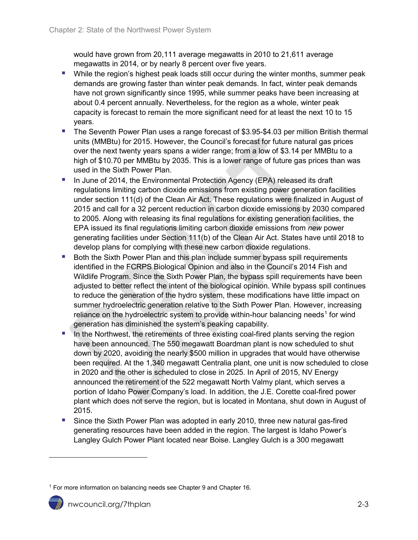would have grown from 20,111 average megawatts in 2010 to 21,611 average megawatts in 2014, or by nearly 8 percent over five years.

- **While the region's highest peak loads still occur during the winter months, summer peak** demands are growing faster than winter peak demands. In fact, winter peak demands have not grown significantly since 1995, while summer peaks have been increasing at about 0.4 percent annually. Nevertheless, for the region as a whole, winter peak capacity is forecast to remain the more significant need for at least the next 10 to 15 years.
- **The Seventh Power Plan uses a range forecast of \$3.95-\$4.03 per million British thermal** units (MMBtu) for 2015. However, the Council's forecast for future natural gas prices over the next twenty years spans a wider range; from a low of \$3.14 per MMBtu to a high of \$10.70 per MMBtu by 2035. This is a lower range of future gas prices than was used in the Sixth Power Plan.
- In June of 2014, the Environmental Protection Agency (EPA) released its draft regulations limiting carbon dioxide emissions from existing power generation facilities under section 111(d) of the Clean Air Act. These regulations were finalized in August of 2015 and call for a 32 percent reduction in carbon dioxide emissions by 2030 compared to 2005. Along with releasing its final regulations for existing generation facilities, the EPA issued its final regulations limiting carbon dioxide emissions from *new* power generating facilities under Section 111(b) of the Clean Air Act. States have until 2018 to develop plans for complying with these new carbon dioxide regulations.
- Both the Sixth Power Plan and this plan include summer bypass spill requirements identified in the FCRPS Biological Opinion and also in the Council's 2014 Fish and Wildlife Program. Since the Sixth Power Plan, the bypass spill requirements have been adjusted to better reflect the intent of the biological opinion. While bypass spill continues to reduce the generation of the hydro system, these modifications have little impact on summer hydroelectric generation relative to the Sixth Power Plan. However, increasing reliance on the hydroelectric system to provide within-hour balancing needs<sup>[1](#page-2-0)</sup> for wind generation has diminished the system's peaking capability.
- In the Northwest, the retirements of three existing coal-fired plants serving the region have been announced. The 550 megawatt Boardman plant is now scheduled to shut down by 2020, avoiding the nearly \$500 million in upgrades that would have otherwise been required. At the 1,340 megawatt Centralia plant, one unit is now scheduled to close in 2020 and the other is scheduled to close in 2025. In April of 2015, NV Energy announced the retirement of the 522 megawatt North Valmy plant, which serves a portion of Idaho Power Company's load. In addition, the [J.E. Corette coal-fired power](http://www.power-eng.com/articles/2012/09/coal-fired-power-plant-in-montana-to-be-mothballed.html)  [plant](http://www.power-eng.com/articles/2012/09/coal-fired-power-plant-in-montana-to-be-mothballed.html) which does not serve the region, but is located in Montana, shut down in August of 2015.
- Since the Sixth Power Plan was adopted in early 2010, three new natural gas-fired generating resources have been added in the region. The largest is Idaho Power's Langley Gulch Power Plant located near Boise. Langley Gulch is a 300 megawatt

<span id="page-2-0"></span><sup>&</sup>lt;sup>1</sup> For more information on balancing needs see Chapter 9 and Chapter 16.



 $\overline{a}$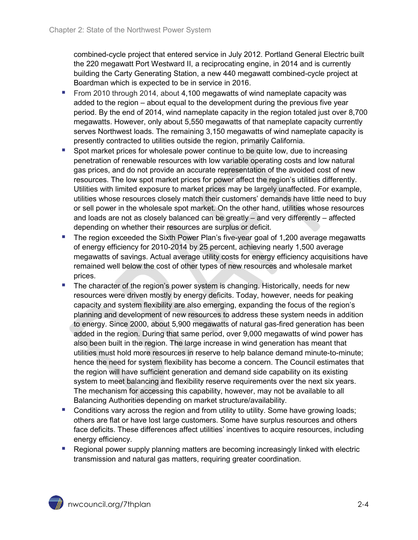combined-cycle project that entered service in July 2012. Portland General Electric built the 220 megawatt Port Westward II, a reciprocating engine, in 2014 and is currently building the Carty Generating Station, a new 440 megawatt combined-cycle project at Boardman which is expected to be in service in 2016.

- From 2010 through 2014, about 4,100 megawatts of wind nameplate capacity was added to the region – about equal to the development during the previous five year period. By the end of 2014, wind nameplate capacity in the region totaled just over 8,700 megawatts. However, only about 5,550 megawatts of that nameplate capacity currently serves Northwest loads. The remaining 3,150 megawatts of wind nameplate capacity is presently contracted to utilities outside the region, primarily California.
- Spot market prices for wholesale power continue to be quite low, due to increasing penetration of renewable resources with low variable operating costs and low natural gas prices, and do not provide an accurate representation of the avoided cost of new resources. The low spot market prices for power affect the region's utilities differently. Utilities with limited exposure to market prices may be largely unaffected. For example, utilities whose resources closely match their customers' demands have little need to buy or sell power in the wholesale spot market. On the other hand, utilities whose resources and loads are not as closely balanced can be greatly – and very differently – affected depending on whether their resources are surplus or deficit.
- The region exceeded the Sixth Power Plan's five-year goal of 1,200 average megawatts of energy efficiency for 2010-2014 by 25 percent, achieving nearly 1,500 average megawatts of savings. Actual average utility costs for energy efficiency acquisitions have remained well below the cost of other types of new resources and wholesale market prices.
- The character of the region's power system is changing. Historically, needs for new resources were driven mostly by energy deficits. Today, however, needs for peaking capacity and system flexibility are also emerging, expanding the focus of the region's planning and development of new resources to address these system needs in addition to energy. Since 2000, about 5,900 megawatts of natural gas-fired generation has been added in the region. During that same period, over 9,000 megawatts of wind power has also been built in the region. The large increase in wind generation has meant that utilities must hold more resources in reserve to help balance demand minute-to-minute; hence the need for system flexibility has become a concern. The Council estimates that the region will have sufficient generation and demand side capability on its existing system to meet balancing and flexibility reserve requirements over the next six years. The mechanism for accessing this capability, however, may not be available to all Balancing Authorities depending on market structure/availability.
- Conditions vary across the region and from utility to utility. Some have growing loads; others are flat or have lost large customers. Some have surplus resources and others face deficits. These differences affect utilities' incentives to acquire resources, including energy efficiency.
- **Regional power supply planning matters are becoming increasingly linked with electric** transmission and natural gas matters, requiring greater coordination.

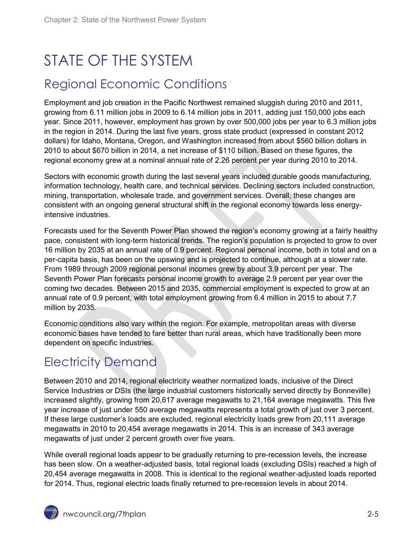# <span id="page-4-0"></span>STATE OF THE SYSTEM

#### <span id="page-4-1"></span>Regional Economic Conditions

Employment and job creation in the Pacific Northwest remained sluggish during 2010 and 2011, growing from 6.11 million jobs in 2009 to 6.14 million jobs in 2011, adding just 150,000 jobs each year. Since 2011, however, employment has grown by over 500,000 jobs per year to 6.3 million jobs in the region in 2014. During the last five years, gross state product (expressed in constant 2012 dollars) for Idaho, Montana, Oregon, and Washington increased from about \$560 billion dollars in 2010 to about \$670 billion in 2014, a net increase of \$110 billion. Based on these figures, the regional economy grew at a nominal annual rate of 2.26 percent per year during 2010 to 2014.

Sectors with economic growth during the last several years included durable goods manufacturing, information technology, health care, and technical services. Declining sectors included construction, mining, transportation, wholesale trade, and government services. Overall, these changes are consistent with an ongoing general structural shift in the regional economy towards less energyintensive industries.

Forecasts used for the Seventh Power Plan showed the region's economy growing at a fairly healthy pace, consistent with long-term historical trends. The region's population is projected to grow to over 16 million by 2035 at an annual rate of 0.9 percent. Regional personal income, both in total and on a per-capita basis, has been on the upswing and is projected to continue, although at a slower rate. From 1989 through 2009 regional personal incomes grew by about 3.9 percent per year. The Seventh Power Plan forecasts personal income growth to average 2.9 percent per year over the coming two decades. Between 2015 and 2035, commercial employment is expected to grow at an annual rate of 0.9 percent, with total employment growing from 6.4 million in 2015 to about 7.7 million by 2035.

Economic conditions also vary within the region. For example, metropolitan areas with diverse economic bases have tended to fare better than rural areas, which have traditionally been more dependent on specific industries.

# <span id="page-4-2"></span>Electricity Demand

Between 2010 and 2014, regional electricity weather normalized loads, inclusive of the Direct Service Industries or DSIs (the large industrial customers historically served directly by Bonneville) increased slightly, growing from 20,617 average megawatts to 21,164 average megawatts. This five year increase of just under 550 average megawatts represents a total growth of just over 3 percent. If these large customer's loads are excluded, regional electricity loads grew from 20,111 average megawatts in 2010 to 20,454 average megawatts in 2014. This is an increase of 343 average megawatts of just under 2 percent growth over five years.

While overall regional loads appear to be gradually returning to pre-recession levels, the increase has been slow. On a weather-adjusted basis, total regional loads (excluding DSIs) reached a high of 20,454 average megawatts in 2008. This is identical to the regional weather-adjusted loads reported for 2014. Thus, regional electric loads finally returned to pre-recession levels in about 2014.

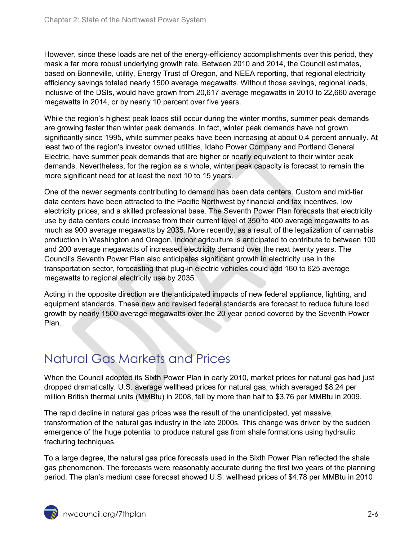However, since these loads are net of the energy-efficiency accomplishments over this period, they mask a far more robust underlying growth rate. Between 2010 and 2014, the Council estimates, based on Bonneville, utility, Energy Trust of Oregon, and NEEA reporting, that regional electricity efficiency savings totaled nearly 1500 average megawatts. Without those savings, regional loads, inclusive of the DSIs, would have grown from 20,617 average megawatts in 2010 to 22,660 average megawatts in 2014, or by nearly 10 percent over five years.

While the region's highest peak loads still occur during the winter months, summer peak demands are growing faster than winter peak demands. In fact, winter peak demands have not grown significantly since 1995, while summer peaks have been increasing at about 0.4 percent annually. At least two of the region's investor owned utilities, Idaho Power Company and Portland General Electric, have summer peak demands that are higher or nearly equivalent to their winter peak demands. Nevertheless, for the region as a whole, winter peak capacity is forecast to remain the more significant need for at least the next 10 to 15 years.

One of the newer segments contributing to demand has been data centers. Custom and mid-tier data centers have been attracted to the Pacific Northwest by financial and tax incentives, low electricity prices, and a skilled professional base. The Seventh Power Plan forecasts that electricity use by data centers could increase from their current level of 350 to 400 average megawatts to as much as 900 average megawatts by 2035. More recently, as a result of the legalization of cannabis production in Washington and Oregon, indoor agriculture is anticipated to contribute to between 100 and 200 average megawatts of increased electricity demand over the next twenty years. The Council's Seventh Power Plan also anticipates significant growth in electricity use in the transportation sector, forecasting that plug-in electric vehicles could add 160 to 625 average megawatts to regional electricity use by 2035.

Acting in the opposite direction are the anticipated impacts of new federal appliance, lighting, and equipment standards. These new and revised federal standards are forecast to reduce future load growth by nearly 1500 average megawatts over the 20 year period covered by the Seventh Power Plan.

# <span id="page-5-0"></span>Natural Gas Markets and Prices

When the Council adopted its Sixth Power Plan in early 2010, market prices for natural gas had just dropped dramatically. U.S. average wellhead prices for natural gas, which averaged \$8.24 per million British thermal units (MMBtu) in 2008, fell by more than half to \$3.76 per MMBtu in 2009.

The rapid decline in natural gas prices was the result of the unanticipated, yet massive, transformation of the natural gas industry in the late 2000s. This change was driven by the sudden emergence of the huge potential to produce natural gas from shale formations using hydraulic fracturing techniques.

To a large degree, the natural gas price forecasts used in the Sixth Power Plan reflected the shale gas phenomenon. The forecasts were reasonably accurate during the first two years of the planning period. The plan's medium case forecast showed U.S. wellhead prices of \$4.78 per MMBtu in 2010

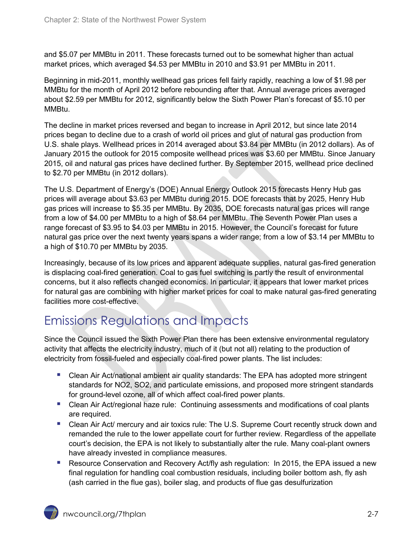and \$5.07 per MMBtu in 2011. These forecasts turned out to be somewhat higher than actual market prices, which averaged \$4.53 per MMBtu in 2010 and \$3.91 per MMBtu in 2011.

Beginning in mid-2011, monthly wellhead gas prices fell fairly rapidly, reaching a low of \$1.98 per MMBtu for the month of April 2012 before rebounding after that. Annual average prices averaged about \$2.59 per MMBtu for 2012, significantly below the Sixth Power Plan's forecast of \$5.10 per MMBtu.

The decline in market prices reversed and began to increase in April 2012, but since late 2014 prices began to decline due to a crash of world oil prices and glut of natural gas production from U.S. shale plays. Wellhead prices in 2014 averaged about \$3.84 per MMBtu (in 2012 dollars). As of January 2015 the outlook for 2015 composite wellhead prices was \$3.60 per MMBtu. Since January 2015, oil and natural gas prices have declined further. By September 2015, wellhead price declined to \$2.70 per MMBtu (in 2012 dollars).

The U.S. Department of Energy's (DOE) Annual Energy Outlook 2015 forecasts Henry Hub gas prices will average about \$3.63 per MMBtu during 2015. DOE forecasts that by 2025, Henry Hub gas prices will increase to \$5.35 per MMBtu. By 2035, DOE forecasts natural gas prices will range from a low of \$4.00 per MMBtu to a high of \$8.64 per MMBtu. The Seventh Power Plan uses a range forecast of \$3.95 to \$4.03 per MMBtu in 2015. However, the Council's forecast for future natural gas price over the next twenty years spans a wider range; from a low of \$3.14 per MMBtu to a high of \$10.70 per MMBtu by 2035.

Increasingly, because of its low prices and apparent adequate supplies, natural gas-fired generation is displacing coal-fired generation. Coal to gas fuel switching is partly the result of environmental concerns, but it also reflects changed economics. In particular, it appears that lower market prices for natural gas are combining with higher market prices for coal to make natural gas-fired generating facilities more cost-effective.

# <span id="page-6-0"></span>Emissions Regulations and Impacts

Since the Council issued the Sixth Power Plan there has been extensive environmental regulatory activity that affects the electricity industry, much of it (but not all) relating to the production of electricity from fossil-fueled and especially coal-fired power plants. The list includes:

- Clean Air Act/national ambient air quality standards: The EPA has adopted more stringent standards for NO2, SO2, and particulate emissions, and proposed more stringent standards for ground-level ozone, all of which affect coal-fired power plants.
- **EXT** Clean Air Act/regional haze rule: Continuing assessments and modifications of coal plants are required.
- Clean Air Act/ mercury and air toxics rule: The U.S. Supreme Court recently struck down and remanded the rule to the lower appellate court for further review. Regardless of the appellate court's decision, the EPA is not likely to substantially alter the rule. Many coal-plant owners have already invested in compliance measures.
- **Resource Conservation and Recovery Act/fly ash regulation: In 2015, the EPA issued a new** final regulation for handling coal combustion residuals, including boiler bottom ash, fly ash (ash carried in the flue gas), boiler slag, and products of flue gas desulfurization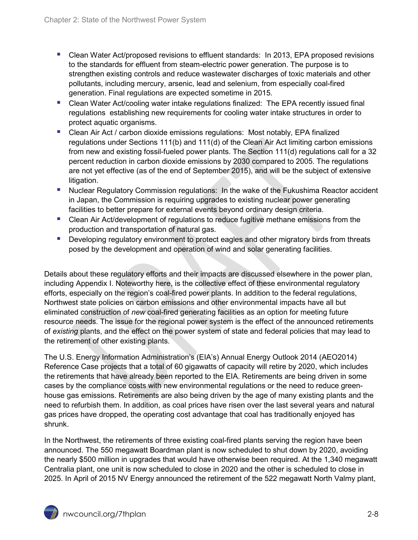- Clean Water Act/proposed revisions to effluent standards: In 2013, EPA proposed revisions to the standards for effluent from steam-electric power generation. The purpose is to strengthen existing controls and reduce wastewater discharges of toxic materials and other pollutants, including mercury, arsenic, lead and selenium, from especially coal-fired generation. Final regulations are expected sometime in 2015.
- Clean Water Act/cooling water intake regulations finalized: The EPA recently issued final regulations establishing new requirements for cooling water intake structures in order to protect aquatic organisms.
- Clean Air Act / carbon dioxide emissions regulations: Most notably, EPA finalized regulations under Sections 111(b) and 111(d) of the Clean Air Act limiting carbon emissions from new and existing fossil-fueled power plants. The Section 111(d) regulations call for a 32 percent reduction in carbon dioxide emissions by 2030 compared to 2005. The regulations are not yet effective (as of the end of September 2015), and will be the subject of extensive litigation.
- **Nuclear Regulatory Commission regulations: In the wake of the Fukushima Reactor accident** in Japan, the Commission is requiring upgrades to existing nuclear power generating facilities to better prepare for external events beyond ordinary design criteria.
- Clean Air Act/development of regulations to reduce fugitive methane emissions from the production and transportation of natural gas.
- **Developing regulatory environment to protect eagles and other migratory birds from threats** posed by the development and operation of wind and solar generating facilities.

Details about these regulatory efforts and their impacts are discussed elsewhere in the power plan, including Appendix I. Noteworthy here, is the collective effect of these environmental regulatory efforts, especially on the region's coal-fired power plants. In addition to the federal regulations, Northwest state policies on carbon emissions and other environmental impacts have all but eliminated construction of *new* coal-fired generating facilities as an option for meeting future resource needs. The issue for the regional power system is the effect of the announced retirements of *existing* plants, and the effect on the power system of state and federal policies that may lead to the retirement of other existing plants.

The [U.S. Energy Information Administration'](http://www.elp.com/articles/2013/07/global-electric-power-use-to-increase-56-percent-by-2040.html)s (EIA's) Annual Energy Outlook 2014 (AEO2014) Reference Case projects that a total of 60 gigawatts of capacity will retire by 2020, which includes the retirements that have already been reported to the EIA. Retirements are being driven in some cases by the compliance costs with new environmental regulations or the need to reduce greenhouse gas emissions. Retirements are also being driven by the age of many existing plants and the need to refurbish them. In addition, as coal prices have risen over the last several years and natural gas prices have dropped, the operating cost advantage that coal has traditionally enjoyed has shrunk.

In the Northwest, the retirements of three existing coal-fired plants serving the region have been announced. The 550 megawatt Boardman plant is now scheduled to shut down by 2020, avoiding the nearly \$500 million in upgrades that would have otherwise been required. At the 1,340 megawatt Centralia plant, one unit is now scheduled to close in 2020 and the other is scheduled to close in 2025. In April of 2015 NV Energy announced the retirement of the 522 megawatt North Valmy plant,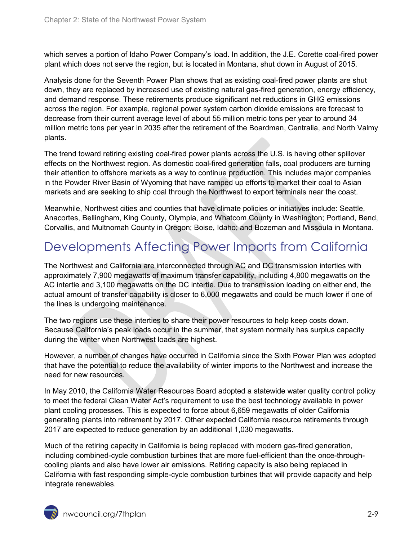which serves a portion of Idaho Power Company's load. In addition, the [J.E. Corette coal-fired power](http://www.power-eng.com/articles/2012/09/coal-fired-power-plant-in-montana-to-be-mothballed.html)  [plant](http://www.power-eng.com/articles/2012/09/coal-fired-power-plant-in-montana-to-be-mothballed.html) which does not serve the region, but is located in Montana, shut down in August of 2015.

Analysis done for the Seventh Power Plan shows that as existing coal-fired power plants are shut down, they are replaced by increased use of existing natural gas-fired generation, energy efficiency, and demand response. These retirements produce significant net reductions in GHG emissions across the region. For example, regional power system carbon dioxide emissions are forecast to decrease from their current average level of about 55 million metric tons per year to around 34 million metric tons per year in 2035 after the retirement of the Boardman, Centralia, and North Valmy plants.

The trend toward retiring existing coal-fired power plants across the U.S. is having other spillover effects on the Northwest region. As domestic coal-fired generation falls, coal producers are turning their attention to offshore markets as a way to continue production. This includes major companies in the Powder River Basin of Wyoming that have ramped up efforts to market their coal to Asian markets and are seeking to ship coal through the Northwest to export terminals near the coast.

Meanwhile, Northwest cities and counties that have climate policies or initiatives include: Seattle, Anacortes, Bellingham, King County, Olympia, and Whatcom County in Washington; Portland, Bend, Corvallis, and Multnomah County in Oregon; Boise, Idaho; and Bozeman and Missoula in Montana.

# <span id="page-8-0"></span>Developments Affecting Power Imports from California

The Northwest and California are interconnected through AC and DC transmission interties with approximately 7,900 megawatts of maximum transfer capability, including 4,800 megawatts on the AC intertie and 3,100 megawatts on the DC intertie. Due to transmission loading on either end, the actual amount of transfer capability is closer to 6,000 megawatts and could be much lower if one of the lines is undergoing maintenance.

The two regions use these interties to share their power resources to help keep costs down. Because California's peak loads occur in the summer, that system normally has surplus capacity during the winter when Northwest loads are highest.

However, a number of changes have occurred in California since the Sixth Power Plan was adopted that have the potential to reduce the availability of winter imports to the Northwest and increase the need for new resources.

In May 2010, the California Water Resources Board adopted a statewide water quality control policy to meet the federal Clean Water Act's requirement to use the best technology available in power plant cooling processes. This is expected to force about 6,659 megawatts of older California generating plants into retirement by 2017. Other expected California resource retirements through 2017 are expected to reduce generation by an additional 1,030 megawatts.

Much of the retiring capacity in California is being replaced with modern gas-fired generation, including combined-cycle combustion turbines that are more fuel-efficient than the once-throughcooling plants and also have lower air emissions. Retiring capacity is also being replaced in California with fast responding simple-cycle combustion turbines that will provide capacity and help integrate renewables.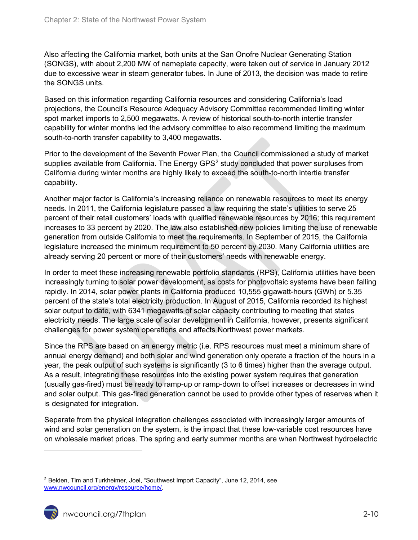Also affecting the California market, both units at the San Onofre Nuclear Generating Station (SONGS), with about 2,200 MW of nameplate capacity, were taken out of service in January 2012 due to excessive wear in steam generator tubes. In June of 2013, the decision was made to retire the SONGS units.

Based on this information regarding California resources and considering California's load projections, the Council's Resource Adequacy Advisory Committee recommended limiting winter spot market imports to 2,500 megawatts. A review of historical south-to-north intertie transfer capability for winter months led the advisory committee to also recommend limiting the maximum south-to-north transfer capability to 3,400 megawatts.

Prior to the development of the Seventh Power Plan, the Council commissioned a study of market supplies available from California. The Energy GPS<sup>[2](#page-9-0)</sup> study concluded that power surpluses from California during winter months are highly likely to exceed the south-to-north intertie transfer capability.

Another major factor is California's increasing reliance on renewable resources to meet its energy needs. In 2011, the California legislature passed a law requiring the state's utilities to serve 25 percent of their retail customers' loads with qualified renewable resources by 2016; this requirement increases to 33 percent by 2020. The law also established new policies limiting the use of renewable generation from outside California to meet the requirements. In September of 2015, the California legislature increased the minimum requirement to 50 percent by 2030. Many California utilities are already serving 20 percent or more of their customers' needs with renewable energy.

In order to meet these increasing renewable portfolio standards (RPS), California utilities have been increasingly turning to solar power development, as costs for photovoltaic systems have been falling rapidly. In 2014, solar power plants in California produced 10,555 gigawatt-hours (GWh) or 5.35 percent of the state's total electricity production. In August of 2015, California recorded its highest solar output to date, with 6341 megawatts of solar capacity contributing to meeting that states electricity needs. The large scale of solar development in California, however, presents significant challenges for power system operations and affects Northwest power markets.

Since the RPS are based on an energy metric (i.e. RPS resources must meet a minimum share of annual energy demand) and both solar and wind generation only operate a fraction of the hours in a year, the peak output of such systems is significantly (3 to 6 times) higher than the average output. As a result, integrating these resources into the existing power system requires that generation (usually gas-fired) must be ready to ramp-up or ramp-down to offset increases or decreases in wind and solar output. This gas-fired generation cannot be used to provide other types of reserves when it is designated for integration.

Separate from the physical integration challenges associated with increasingly larger amounts of wind and solar generation on the system, is the impact that these low-variable cost resources have on wholesale market prices. The spring and early summer months are when Northwest hydroelectric

 $\ddot{\phantom{a}}$ 

<span id="page-9-0"></span><sup>2</sup> Belden, Tim and Turkheimer, Joel, "Southwest Import Capacity", June 12, 2014, see [www.nwcouncil.org/energy/resource/home/.](http://www.nwcouncil.org/energy/resource/home/)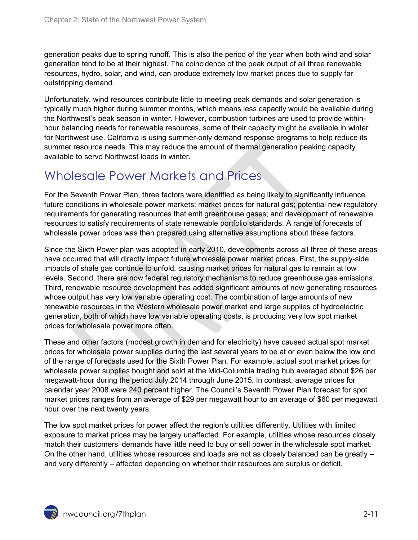generation peaks due to spring runoff. This is also the period of the year when both wind and solar generation tend to be at their highest. The coincidence of the peak output of all three renewable resources, hydro, solar, and wind, can produce extremely low market prices due to supply far outstripping demand.

Unfortunately, wind resources contribute little to meeting peak demands and solar generation is typically much higher during summer months, which means less capacity would be available during the Northwest's peak season in winter. However, combustion turbines are used to provide withinhour balancing needs for renewable resources, some of their capacity might be available in winter for Northwest use. California is using summer-only demand response programs to help reduce its summer resource needs. This may reduce the amount of thermal generation peaking capacity available to serve Northwest loads in winter.

#### <span id="page-10-0"></span>Wholesale Power Markets and Prices

For the Seventh Power Plan, three factors were identified as being likely to significantly influence future conditions in wholesale power markets: market prices for natural gas; potential new regulatory requirements for generating resources that emit greenhouse gases; and development of renewable resources to satisfy requirements of state renewable portfolio standards. A range of forecasts of wholesale power prices was then prepared using alternative assumptions about these factors.

Since the Sixth Power plan was adopted in early 2010, developments across all three of these areas have occurred that will directly impact future wholesale power market prices. First, the supply-side impacts of shale gas continue to unfold, causing market prices for natural gas to remain at low levels. Second, there are now federal regulatory mechanisms to reduce greenhouse gas emissions. Third, renewable resource development has added significant amounts of new generating resources whose output has very low variable operating cost. The combination of large amounts of new renewable resources in the Western wholesale power market and large supplies of hydroelectric generation, both of which have low variable operating costs, is producing very low spot market prices for wholesale power more often.

These and other factors (modest growth in demand for electricity) have caused actual spot market prices for wholesale power supplies during the last several years to be at or even below the low end of the range of forecasts used for the Sixth Power Plan. For example, actual spot market prices for wholesale power supplies bought and sold at the Mid-Columbia trading hub averaged about \$26 per megawatt-hour during the period July 2014 through June 2015. In contrast, average prices for calendar year 2008 were 240 percent higher. The Council's Seventh Power Plan forecast for spot market prices ranges from an average of \$29 per megawatt hour to an average of \$60 per megawatt hour over the next twenty years.

The low spot market prices for power affect the region's utilities differently. Utilities with limited exposure to market prices may be largely unaffected. For example, utilities whose resources closely match their customers' demands have little need to buy or sell power in the wholesale spot market. On the other hand, utilities whose resources and loads are not as closely balanced can be greatly – and very differently – affected depending on whether their resources are surplus or deficit.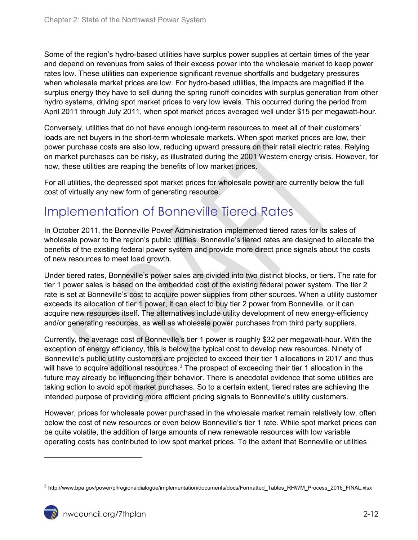Some of the region's hydro-based utilities have surplus power supplies at certain times of the year and depend on revenues from sales of their excess power into the wholesale market to keep power rates low. These utilities can experience significant revenue shortfalls and budgetary pressures when wholesale market prices are low. For hydro-based utilities, the impacts are magnified if the surplus energy they have to sell during the spring runoff coincides with surplus generation from other hydro systems, driving spot market prices to very low levels. This occurred during the period from April 2011 through July 2011, when spot market prices averaged well under \$15 per megawatt-hour.

Conversely, utilities that do not have enough long-term resources to meet all of their customers' loads are net buyers in the short-term wholesale markets. When spot market prices are low, their power purchase costs are also low, reducing upward pressure on their retail electric rates. Relying on market purchases can be risky, as illustrated during the 2001 Western energy crisis. However, for now, these utilities are reaping the benefits of low market prices.

For all utilities, the depressed spot market prices for wholesale power are currently below the full cost of virtually any new form of generating resource.

#### <span id="page-11-0"></span>Implementation of Bonneville Tiered Rates

In October 2011, the Bonneville Power Administration implemented tiered rates for its sales of wholesale power to the region's public utilities. Bonneville's tiered rates are designed to allocate the benefits of the existing federal power system and provide more direct price signals about the costs of new resources to meet load growth.

Under tiered rates, Bonneville's power sales are divided into two distinct blocks, or tiers. The rate for tier 1 power sales is based on the embedded cost of the existing federal power system. The tier 2 rate is set at Bonneville's cost to acquire power supplies from other sources. When a utility customer exceeds its allocation of tier 1 power, it can elect to buy tier 2 power from Bonneville, or it can acquire new resources itself. The alternatives include utility development of new energy-efficiency and/or generating resources, as well as wholesale power purchases from third party suppliers.

Currently, the average cost of Bonneville's tier 1 power is roughly \$32 per megawatt-hour. With the exception of energy efficiency, this is below the typical cost to develop new resources. Ninety of Bonneville's public utility customers are projected to exceed their tier 1 allocations in 2017 and thus will have to acquire additional resources.<sup>[3](#page-11-1)</sup> The prospect of exceeding their tier 1 allocation in the future may already be influencing their behavior. There is anecdotal evidence that some utilities are taking action to avoid spot market purchases. So to a certain extent, tiered rates are achieving the intended purpose of providing more efficient pricing signals to Bonneville's utility customers.

However, prices for wholesale power purchased in the wholesale market remain relatively low, often below the cost of new resources or even below Bonneville's tier 1 rate. While spot market prices can be quite volatile, the addition of large amounts of new renewable resources with low variable operating costs has contributed to low spot market prices. To the extent that Bonneville or utilities

 $\overline{a}$ 

<span id="page-11-1"></span><sup>3</sup> http://www.bpa.gov/power/pl/regionaldialogue/implementation/documents/docs/Formatted\_Tables\_RHWM\_Process\_2016\_FINAL.xlsx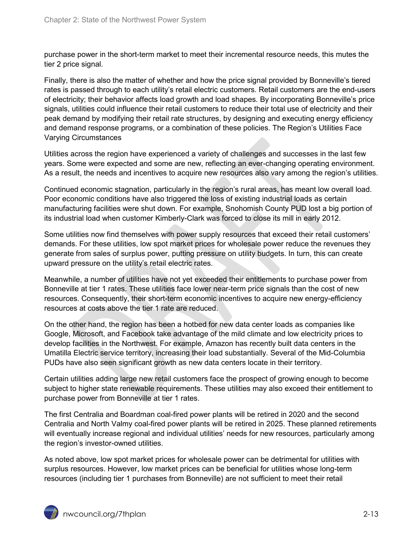purchase power in the short-term market to meet their incremental resource needs, this mutes the tier 2 price signal.

Finally, there is also the matter of whether and how the price signal provided by Bonneville's tiered rates is passed through to each utility's retail electric customers. Retail customers are the end-users of electricity; their behavior affects load growth and load shapes. By incorporating Bonneville's price signals, utilities could influence their retail customers to reduce their total use of electricity and their peak demand by modifying their retail rate structures, by designing and executing energy efficiency and demand response programs, or a combination of these policies. The Region's Utilities Face Varying Circumstances

Utilities across the region have experienced a variety of challenges and successes in the last few years. Some were expected and some are new, reflecting an ever-changing operating environment. As a result, the needs and incentives to acquire new resources also vary among the region's utilities.

Continued economic stagnation, particularly in the region's rural areas, has meant low overall load. Poor economic conditions have also triggered the loss of existing industrial loads as certain manufacturing facilities were shut down. For example, Snohomish County PUD lost a big portion of its industrial load when customer Kimberly-Clark was forced to close its mill in early 2012.

Some utilities now find themselves with power supply resources that exceed their retail customers' demands. For these utilities, low spot market prices for wholesale power reduce the revenues they generate from sales of surplus power, putting pressure on utility budgets. In turn, this can create upward pressure on the utility's retail electric rates.

Meanwhile, a number of utilities have not yet exceeded their entitlements to purchase power from Bonneville at tier 1 rates. These utilities face lower near-term price signals than the cost of new resources. Consequently, their short-term economic incentives to acquire new energy-efficiency resources at costs above the tier 1 rate are reduced.

On the other hand, the region has been a hotbed for new data center loads as companies like Google, Microsoft, and Facebook take advantage of the mild climate and low electricity prices to develop facilities in the Northwest. For example, Amazon has recently built data centers in the Umatilla Electric service territory, increasing their load substantially. Several of the Mid-Columbia PUDs have also seen significant growth as new data centers locate in their territory.

Certain utilities adding large new retail customers face the prospect of growing enough to become subject to higher state renewable requirements. These utilities may also exceed their entitlement to purchase power from Bonneville at tier 1 rates.

The first Centralia and Boardman coal-fired power plants will be retired in 2020 and the second Centralia and North Valmy coal-fired power plants will be retired in 2025. These planned retirements will eventually increase regional and individual utilities' needs for new resources, particularly among the region's investor-owned utilities.

As noted above, low spot market prices for wholesale power can be detrimental for utilities with surplus resources. However, low market prices can be beneficial for utilities whose long-term resources (including tier 1 purchases from Bonneville) are not sufficient to meet their retail

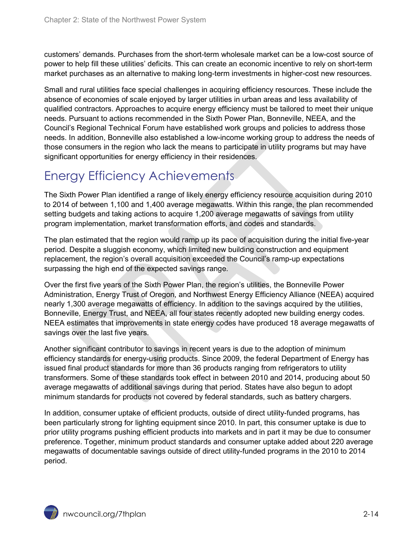customers' demands. Purchases from the short-term wholesale market can be a low-cost source of power to help fill these utilities' deficits. This can create an economic incentive to rely on short-term market purchases as an alternative to making long-term investments in higher-cost new resources.

Small and rural utilities face special challenges in acquiring efficiency resources. These include the absence of economies of scale enjoyed by larger utilities in urban areas and less availability of qualified contractors. Approaches to acquire energy efficiency must be tailored to meet their unique needs. Pursuant to actions recommended in the Sixth Power Plan, Bonneville, NEEA, and the Council's Regional Technical Forum have established work groups and policies to address those needs. In addition, Bonneville also established a low-income working group to address the needs of those consumers in the region who lack the means to participate in utility programs but may have significant opportunities for energy efficiency in their residences.

## <span id="page-13-0"></span>Energy Efficiency Achievements

The Sixth Power Plan identified a range of likely energy efficiency resource acquisition during 2010 to 2014 of between 1,100 and 1,400 average megawatts. Within this range, the plan recommended setting budgets and taking actions to acquire 1,200 average megawatts of savings from utility program implementation, market transformation efforts, and codes and standards.

The plan estimated that the region would ramp up its pace of acquisition during the initial five-year period. Despite a sluggish economy, which limited new building construction and equipment replacement, the region's overall acquisition exceeded the Council's ramp-up expectations surpassing the high end of the expected savings range.

Over the first five years of the Sixth Power Plan, the region's utilities, the Bonneville Power Administration, Energy Trust of Oregon, and Northwest Energy Efficiency Alliance (NEEA) acquired nearly 1,300 average megawatts of efficiency. In addition to the savings acquired by the utilities, Bonneville, Energy Trust, and NEEA, all four states recently adopted new building energy codes. NEEA estimates that improvements in state energy codes have produced 18 average megawatts of savings over the last five years.

Another significant contributor to savings in recent years is due to the adoption of minimum efficiency standards for energy-using products. Since 2009, the federal Department of Energy has issued final product standards for more than 36 products ranging from refrigerators to utility transformers. Some of these standards took effect in between 2010 and 2014, producing about 50 average megawatts of additional savings during that period. States have also begun to adopt minimum standards for products not covered by federal standards, such as battery chargers.

In addition, consumer uptake of efficient products, outside of direct utility-funded programs, has been particularly strong for lighting equipment since 2010. In part, this consumer uptake is due to prior utility programs pushing efficient products into markets and in part it may be due to consumer preference. Together, minimum product standards and consumer uptake added about 220 average megawatts of documentable savings outside of direct utility-funded programs in the 2010 to 2014 period.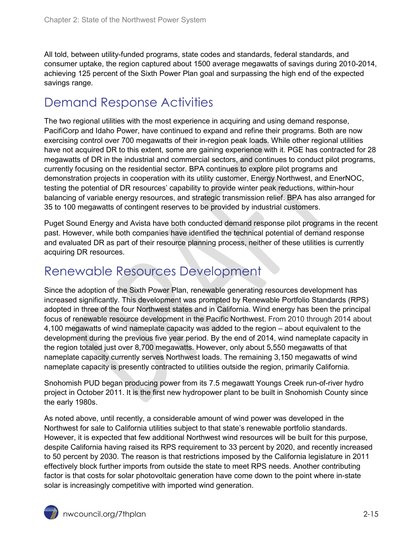All told, between utility-funded programs, state codes and standards, federal standards, and consumer uptake, the region captured about 1500 average megawatts of savings during 2010-2014, achieving 125 percent of the Sixth Power Plan goal and surpassing the high end of the expected savings range.

#### <span id="page-14-0"></span>Demand Response Activities

The two regional utilities with the most experience in acquiring and using demand response, PacifiCorp and Idaho Power, have continued to expand and refine their programs. Both are now exercising control over 700 megawatts of their in-region peak loads. While other regional utilities have not acquired DR to this extent, some are gaining experience with it. PGE has contracted for 28 megawatts of DR in the industrial and commercial sectors, and continues to conduct pilot programs, currently focusing on the residential sector. BPA continues to explore pilot programs and demonstration projects in cooperation with its utility customer, Energy Northwest, and EnerNOC, testing the potential of DR resources' capability to provide winter peak reductions, within-hour balancing of variable energy resources, and strategic transmission relief. BPA has also arranged for 35 to 100 megawatts of contingent reserves to be provided by industrial customers.

Puget Sound Energy and Avista have both conducted demand response pilot programs in the recent past. However, while both companies have identified the technical potential of demand response and evaluated DR as part of their resource planning process, neither of these utilities is currently acquiring DR resources.

#### <span id="page-14-1"></span>Renewable Resources Development

Since the adoption of the Sixth Power Plan, renewable generating resources development has increased significantly. This development was prompted by Renewable Portfolio Standards (RPS) adopted in three of the four Northwest states and in California. Wind energy has been the principal focus of renewable resource development in the Pacific Northwest. From 2010 through 2014 about 4,100 megawatts of wind nameplate capacity was added to the region – about equivalent to the development during the previous five year period. By the end of 2014, wind nameplate capacity in the region totaled just over 8,700 megawatts. However, only about 5,550 megawatts of that nameplate capacity currently serves Northwest loads. The remaining 3,150 megawatts of wind nameplate capacity is presently contracted to utilities outside the region, primarily California.

Snohomish PUD began producing power from its 7.5 megawatt Youngs Creek run-of-river hydro project in October 2011. It is the first new hydropower plant to be built in Snohomish County since the early 1980s.

As noted above, until recently, a considerable amount of wind power was developed in the Northwest for sale to California utilities subject to that state's renewable portfolio standards. However, it is expected that few additional Northwest wind resources will be built for this purpose, despite California having raised its RPS requirement to 33 percent by 2020, and recently increased to 50 percent by 2030. The reason is that restrictions imposed by the California legislature in 2011 effectively block further imports from outside the state to meet RPS needs. Another contributing factor is that costs for solar photovoltaic generation have come down to the point where in-state solar is increasingly competitive with imported wind generation.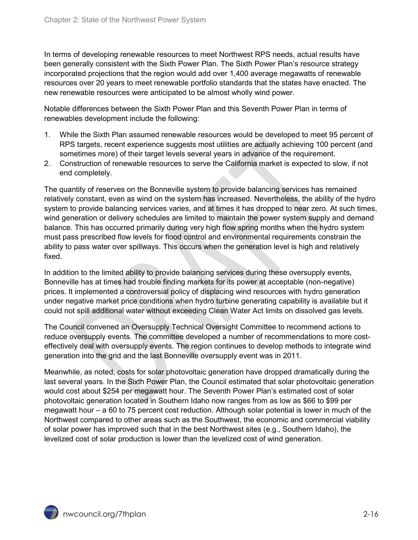In terms of developing renewable resources to meet Northwest RPS needs, actual results have been generally consistent with the Sixth Power Plan. The Sixth Power Plan's resource strategy incorporated projections that the region would add over 1,400 average megawatts of renewable resources over 20 years to meet renewable portfolio standards that the states have enacted. The new renewable resources were anticipated to be almost wholly wind power.

Notable differences between the Sixth Power Plan and this Seventh Power Plan in terms of renewables development include the following:

- 1. While the Sixth Plan assumed renewable resources would be developed to meet 95 percent of RPS targets, recent experience suggests most utilities are actually achieving 100 percent (and sometimes more) of their target levels several years in advance of the requirement.
- 2. Construction of renewable resources to serve the California market is expected to slow, if not end completely.

The quantity of reserves on the Bonneville system to provide balancing services has remained relatively constant, even as wind on the system has increased. Nevertheless, the ability of the hydro system to provide balancing services varies, and at times it has dropped to near zero. At such times, wind generation or delivery schedules are limited to maintain the power system supply and demand balance. This has occurred primarily during very high flow spring months when the hydro system must pass prescribed flow levels for flood control and environmental requirements constrain the ability to pass water over spillways. This occurs when the generation level is high and relatively fixed.

In addition to the limited ability to provide balancing services during these oversupply events, Bonneville has at times had trouble finding markets for its power at acceptable (non-negative) prices. It implemented a controversial policy of displacing wind resources with hydro generation under negative market price conditions when hydro turbine generating capability is available but it could not spill additional water without exceeding Clean Water Act limits on dissolved gas levels.

The Council convened an Oversupply Technical Oversight Committee to recommend actions to reduce oversupply events. The committee developed a number of recommendations to more costeffectively deal with oversupply events. The region continues to develop methods to integrate wind generation into the grid and the last Bonneville oversupply event was in 2011.

Meanwhile, as noted, costs for solar photovoltaic generation have dropped dramatically during the last several years. In the Sixth Power Plan, the Council estimated that solar photovoltaic generation would cost about \$254 per megawatt hour. The Seventh Power Plan's estimated cost of solar photovoltaic generation located in Southern Idaho now ranges from as low as \$66 to \$99 per megawatt hour – a 60 to 75 percent cost reduction. Although solar potential is lower in much of the Northwest compared to other areas such as the Southwest, the economic and commercial viability of solar power has improved such that in the best Northwest sites (e.g., Southern Idaho), the levelized cost of solar production is lower than the levelized cost of wind generation.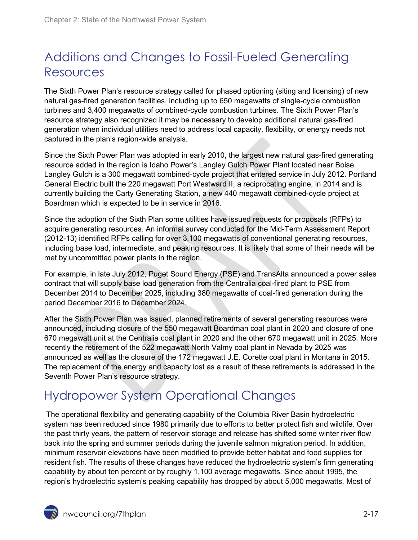# <span id="page-16-0"></span>Additions and Changes to Fossil-Fueled Generating Resources

The Sixth Power Plan's resource strategy called for phased optioning (siting and licensing) of new natural gas-fired generation facilities, including up to 650 megawatts of single-cycle combustion turbines and 3,400 megawatts of combined-cycle combustion turbines. The Sixth Power Plan's resource strategy also recognized it may be necessary to develop additional natural gas-fired generation when individual utilities need to address local capacity, flexibility, or energy needs not captured in the plan's region-wide analysis.

Since the Sixth Power Plan was adopted in early 2010, the largest new natural gas-fired generating resource added in the region is Idaho Power's Langley Gulch Power Plant located near Boise. Langley Gulch is a 300 megawatt combined-cycle project that entered service in July 2012. Portland General Electric built the 220 megawatt Port Westward II, a reciprocating engine, in 2014 and is currently building the Carty Generating Station, a new 440 megawatt combined-cycle project at Boardman which is expected to be in service in 2016.

Since the adoption of the Sixth Plan some utilities have issued requests for proposals (RFPs) to acquire generating resources. An informal survey conducted for the Mid-Term Assessment Report (2012-13) identified RFPs calling for over 3,100 megawatts of conventional generating resources, including base load, intermediate, and peaking resources. It is likely that some of their needs will be met by uncommitted power plants in the region.

For example, in late July 2012, Puget Sound Energy (PSE) and TransAlta announced a power sales contract that will supply base load generation from the Centralia coal-fired plant to PSE from December 2014 to December 2025, including 380 megawatts of coal-fired generation during the period December 2016 to December 2024.

After the Sixth Power Plan was issued, planned retirements of several generating resources were announced, including closure of the 550 megawatt Boardman coal plant in 2020 and closure of one 670 megawatt unit at the Centralia coal plant in 2020 and the other 670 megawatt unit in 2025. More recently the retirement of the 522 megawatt North Valmy coal plant in Nevada by 2025 was announced as well as the closure of the 172 megawatt J.E. Corette coal plant in Montana in 2015. The replacement of the energy and capacity lost as a result of these retirements is addressed in the Seventh Power Plan's resource strategy.

# <span id="page-16-1"></span>Hydropower System Operational Changes

The operational flexibility and generating capability of the Columbia River Basin hydroelectric system has been reduced since 1980 primarily due to efforts to better protect fish and wildlife. Over the past thirty years, the pattern of reservoir storage and release has shifted some winter river flow back into the spring and summer periods during the juvenile salmon migration period. In addition, minimum reservoir elevations have been modified to provide better habitat and food supplies for resident fish. The results of these changes have reduced the hydroelectric system's firm generating capability by about ten percent or by roughly 1,100 average megawatts. Since about 1995, the region's hydroelectric system's peaking capability has dropped by about 5,000 megawatts. Most of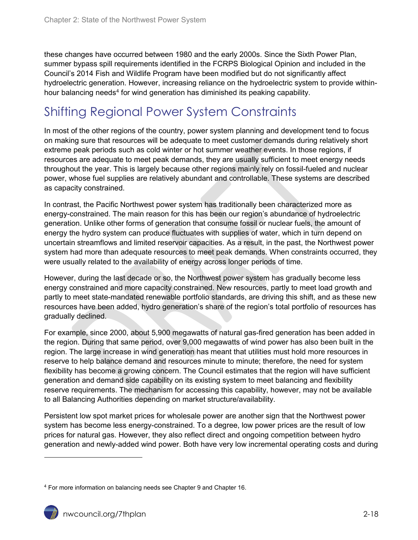these changes have occurred between 1980 and the early 2000s. Since the Sixth Power Plan, summer bypass spill requirements identified in the FCRPS Biological Opinion and included in the Council's 2014 Fish and Wildlife Program have been modified but do not significantly affect hydroelectric generation. However, increasing reliance on the hydroelectric system to provide within-hour balancing needs<sup>[4](#page-17-1)</sup> for wind generation has diminished its peaking capability.

## <span id="page-17-0"></span>Shifting Regional Power System Constraints

In most of the other regions of the country, power system planning and development tend to focus on making sure that resources will be adequate to meet customer demands during relatively short extreme peak periods such as cold winter or hot summer weather events. In those regions, if resources are adequate to meet peak demands, they are usually sufficient to meet energy needs throughout the year. This is largely because other regions mainly rely on fossil-fueled and nuclear power, whose fuel supplies are relatively abundant and controllable. These systems are described as capacity constrained.

In contrast, the Pacific Northwest power system has traditionally been characterized more as energy-constrained. The main reason for this has been our region's abundance of hydroelectric generation. Unlike other forms of generation that consume fossil or nuclear fuels, the amount of energy the hydro system can produce fluctuates with supplies of water, which in turn depend on uncertain streamflows and limited reservoir capacities. As a result, in the past, the Northwest power system had more than adequate resources to meet peak demands. When constraints occurred, they were usually related to the availability of energy across longer periods of time.

However, during the last decade or so, the Northwest power system has gradually become less energy constrained and more capacity constrained. New resources, partly to meet load growth and partly to meet state-mandated renewable portfolio standards, are driving this shift, and as these new resources have been added, hydro generation's share of the region's total portfolio of resources has gradually declined.

For example, since 2000, about 5,900 megawatts of natural gas-fired generation has been added in the region. During that same period, over 9,000 megawatts of wind power has also been built in the region. The large increase in wind generation has meant that utilities must hold more resources in reserve to help balance demand and resources minute to minute; therefore, the need for system flexibility has become a growing concern. The Council estimates that the region will have sufficient generation and demand side capability on its existing system to meet balancing and flexibility reserve requirements. The mechanism for accessing this capability, however, may not be available to all Balancing Authorities depending on market structure/availability.

Persistent low spot market prices for wholesale power are another sign that the Northwest power system has become less energy-constrained. To a degree, low power prices are the result of low prices for natural gas. However, they also reflect direct and ongoing competition between hydro generation and newly-added wind power. Both have very low incremental operating costs and during

 $\overline{a}$ 

<span id="page-17-1"></span><sup>4</sup> For more information on balancing needs see Chapter 9 and Chapter 16.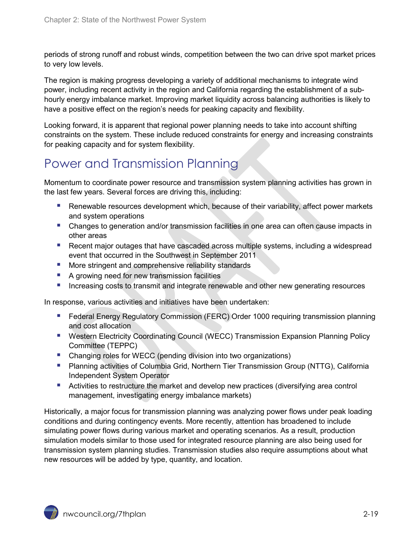periods of strong runoff and robust winds, competition between the two can drive spot market prices to very low levels.

The region is making progress developing a variety of additional mechanisms to integrate wind power, including recent activity in the region and California regarding the establishment of a subhourly energy imbalance market. Improving market liquidity across balancing authorities is likely to have a positive effect on the region's needs for peaking capacity and flexibility.

Looking forward, it is apparent that regional power planning needs to take into account shifting constraints on the system. These include reduced constraints for energy and increasing constraints for peaking capacity and for system flexibility.

## <span id="page-18-0"></span>Power and Transmission Planning

Momentum to coordinate power resource and transmission system planning activities has grown in the last few years. Several forces are driving this, including:

- **Renewable resources development which, because of their variability, affect power markets** and system operations
- Changes to generation and/or transmission facilities in one area can often cause impacts in other areas
- Recent major outages that have cascaded across multiple systems, including a widespread event that occurred in the Southwest in September 2011
- **More stringent and comprehensive reliability standards**
- A growing need for new transmission facilities
- Increasing costs to transmit and integrate renewable and other new generating resources

In response, various activities and initiatives have been undertaken:

- **Federal Energy Regulatory Commission (FERC) Order 1000 requiring transmission planning** and cost allocation
- **E** Western Electricity Coordinating Council (WECC) Transmission Expansion Planning Policy Committee (TEPPC)
- **Changing roles for WECC (pending division into two organizations)**
- Planning activities of Columbia Grid, Northern Tier Transmission Group (NTTG), California Independent System Operator
- **Activities to restructure the market and develop new practices (diversifying area control** management, investigating energy imbalance markets)

Historically, a major focus for transmission planning was analyzing power flows under peak loading conditions and during contingency events. More recently, attention has broadened to include simulating power flows during various market and operating scenarios. As a result, production simulation models similar to those used for integrated resource planning are also being used for transmission system planning studies. Transmission studies also require assumptions about what new resources will be added by type, quantity, and location.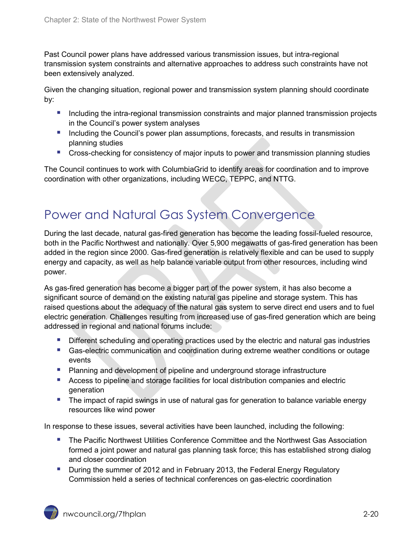Past Council power plans have addressed various transmission issues, but intra-regional transmission system constraints and alternative approaches to address such constraints have not been extensively analyzed.

Given the changing situation, regional power and transmission system planning should coordinate by:

- Including the intra-regional transmission constraints and major planned transmission projects in the Council's power system analyses
- **Including the Council's power plan assumptions, forecasts, and results in transmission** planning studies
- **Cross-checking for consistency of major inputs to power and transmission planning studies**

The Council continues to work with ColumbiaGrid to identify areas for coordination and to improve coordination with other organizations, including WECC, TEPPC, and NTTG.

#### <span id="page-19-0"></span>Power and Natural Gas System Convergence

During the last decade, natural gas-fired generation has become the leading fossil-fueled resource, both in the Pacific Northwest and nationally. Over 5,900 megawatts of gas-fired generation has been added in the region since 2000. Gas-fired generation is relatively flexible and can be used to supply energy and capacity, as well as help balance variable output from other resources, including wind power.

As gas-fired generation has become a bigger part of the power system, it has also become a significant source of demand on the existing natural gas pipeline and storage system. This has raised questions about the adequacy of the natural gas system to serve direct end users and to fuel electric generation. Challenges resulting from increased use of gas-fired generation which are being addressed in regional and national forums include:

- **Different scheduling and operating practices used by the electric and natural gas industries**
- Gas-electric communication and coordination during extreme weather conditions or outage events
- **Planning and development of pipeline and underground storage infrastructure**
- Access to pipeline and storage facilities for local distribution companies and electric generation
- **The impact of rapid swings in use of natural gas for generation to balance variable energy** resources like wind power

In response to these issues, several activities have been launched, including the following:

- **The Pacific Northwest Utilities Conference Committee and the Northwest Gas Association** formed a joint power and natural gas planning task force; this has established strong dialog and closer coordination
- **During the summer of 2012 and in February 2013, the Federal Energy Regulatory** Commission held a series of technical conferences on gas-electric coordination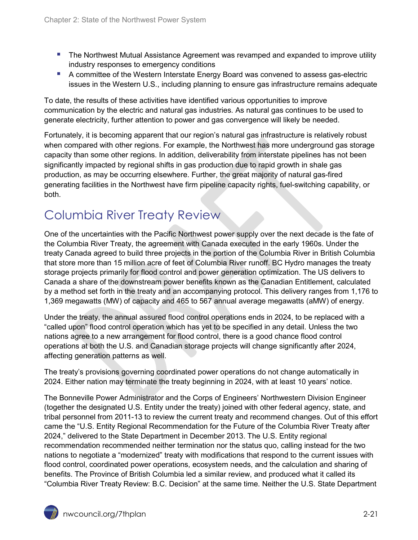- **The Northwest Mutual Assistance Agreement was revamped and expanded to improve utility** industry responses to emergency conditions
- A committee of the Western Interstate Energy Board was convened to assess gas-electric issues in the Western U.S., including planning to ensure gas infrastructure remains adequate

To date, the results of these activities have identified various opportunities to improve communication by the electric and natural gas industries. As natural gas continues to be used to generate electricity, further attention to power and gas convergence will likely be needed.

Fortunately, it is becoming apparent that our region's natural gas infrastructure is relatively robust when compared with other regions. For example, the Northwest has more underground gas storage capacity than some other regions. In addition, deliverability from interstate pipelines has not been significantly impacted by regional shifts in gas production due to rapid growth in shale gas production, as may be occurring elsewhere. Further, the great majority of natural gas-fired generating facilities in the Northwest have firm pipeline capacity rights, fuel-switching capability, or both.

## <span id="page-20-0"></span>Columbia River Treaty Review

One of the uncertainties with the Pacific Northwest power supply over the next decade is the fate of the Columbia River Treaty, the agreement with Canada executed in the early 1960s. Under the treaty Canada agreed to build three projects in the portion of the Columbia River in British Columbia that store more than 15 million acre of feet of Columbia River runoff. BC Hydro manages the treaty storage projects primarily for flood control and power generation optimization. The US delivers to Canada a share of the downstream power benefits known as the Canadian Entitlement, calculated by a method set forth in the treaty and an accompanying protocol. This delivery ranges from 1,176 to 1,369 megawatts (MW) of capacity and 465 to 567 annual average megawatts (aMW) of energy.

Under the treaty, the annual assured flood control operations ends in 2024, to be replaced with a "called upon" flood control operation which has yet to be specified in any detail. Unless the two nations agree to a new arrangement for flood control, there is a good chance flood control operations at both the U.S. and Canadian storage projects will change significantly after 2024, affecting generation patterns as well.

The treaty's provisions governing coordinated power operations do not change automatically in 2024. Either nation may terminate the treaty beginning in 2024, with at least 10 years' notice.

The Bonneville Power Administrator and the Corps of Engineers' Northwestern Division Engineer (together the designated U.S. Entity under the treaty) joined with other federal agency, state, and tribal personnel from 2011-13 to review the current treaty and recommend changes. Out of this effort came the "U.S. Entity Regional Recommendation for the Future of the Columbia River Treaty after 2024," delivered to the State Department in December 2013. The U.S. Entity regional recommendation recommended neither termination nor the status quo, calling instead for the two nations to negotiate a "modernized" treaty with modifications that respond to the current issues with flood control, coordinated power operations, ecosystem needs, and the calculation and sharing of benefits. The Province of British Columbia led a similar review, and produced what it called its "Columbia River Treaty Review: B.C. Decision" at the same time. Neither the U.S. State Department